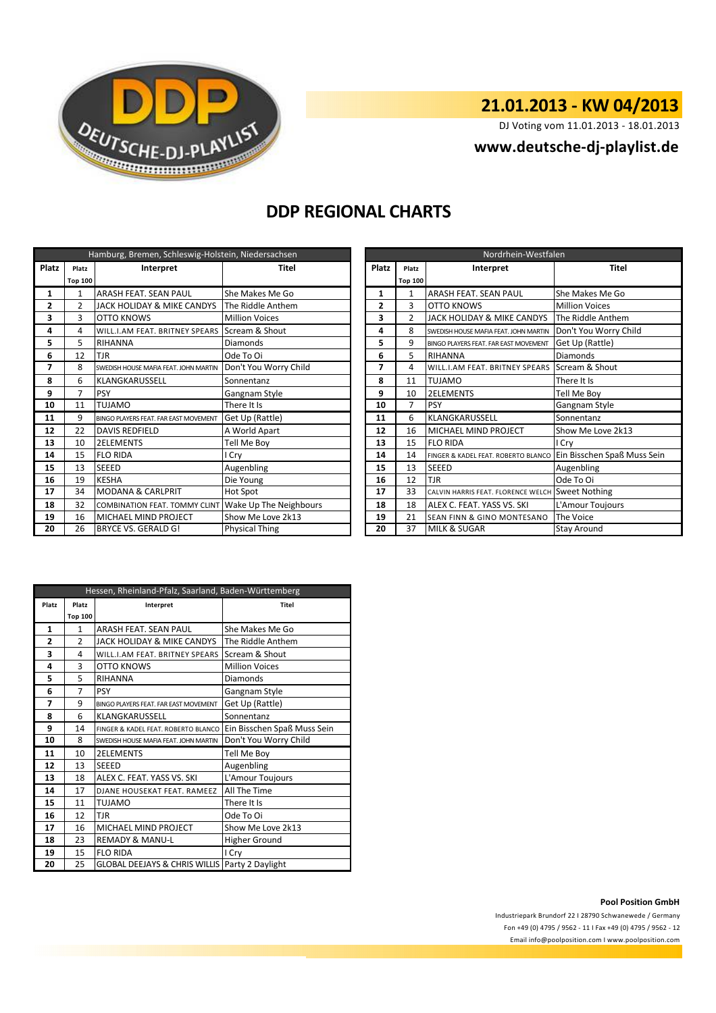

# **21.01.2013 - KW 04/2013**

DJ Voting vom 11.01.2013 - 18.01.2013

## **<www.deutsche-dj-playlist.de>**

# **DDP REGIONAL CHARTS**

| Hamburg, Bremen, Schleswig-Holstein, Niedersachsen |                |                                                                     |                                     |    | Nordrhein-Westfalen |                                              |                             |  |
|----------------------------------------------------|----------------|---------------------------------------------------------------------|-------------------------------------|----|---------------------|----------------------------------------------|-----------------------------|--|
| Platz                                              | Platz          | Interpret                                                           | Platz<br>Titel                      |    | Platz               | Interpret                                    | <b>Titel</b>                |  |
|                                                    | <b>Top 100</b> |                                                                     |                                     |    | <b>Top 100</b>      |                                              |                             |  |
| 1                                                  | 1              | ARASH FEAT. SEAN PAUL                                               | She Makes Me Go                     | 1  | 1                   | ARASH FEAT. SEAN PAUL                        | She Makes Me Go             |  |
| 2                                                  | $\overline{2}$ | JACK HOLIDAY & MIKE CANDYS                                          | The Riddle Anthem                   | 2  | 3                   | <b>OTTO KNOWS</b>                            | <b>Million Voices</b>       |  |
| 3                                                  | 3              | OTTO KNOWS                                                          | <b>Million Voices</b>               | 3  | $\overline{2}$      | JACK HOLIDAY & MIKE CANDYS                   | The Riddle Anthem           |  |
| 4                                                  | 4              | WILL.I.AM FEAT. BRITNEY SPEARS Scream & Shout                       |                                     | 4  | 8                   | SWEDISH HOUSE MAFIA FEAT. JOHN MARTIN        | Don't You Worry Child       |  |
| 5                                                  | 5              | <b>RIHANNA</b>                                                      | <b>Diamonds</b>                     | 5  | 9                   | <b>BINGO PLAYERS FEAT. FAR EAST MOVEMENT</b> | Get Up (Rattle)             |  |
| 6                                                  | 12             | <b>TJR</b>                                                          | Ode To Oi                           | 6  | 5.                  | <b>RIHANNA</b>                               | <b>Diamonds</b>             |  |
| 7                                                  | 8              | Don't You Worry Child<br>7<br>SWEDISH HOUSE MAFIA FEAT. JOHN MARTIN |                                     |    | 4                   | WILL.I.AM FEAT. BRITNEY SPEARS               | Scream & Shout              |  |
| 8                                                  | 6              | KLANGKARUSSELL<br>Sonnentanz                                        |                                     | 8  | 11                  | <b>TUJAMO</b>                                | There It Is                 |  |
| 9                                                  | 7              | <b>PSY</b><br>9<br>Gangnam Style                                    |                                     | 10 | <b>2ELEMENTS</b>    | Tell Me Boy                                  |                             |  |
| 10                                                 | 11             | <b>TUJAMO</b>                                                       | There It Is<br>10<br>$\overline{ }$ |    | PSY                 | Gangnam Style                                |                             |  |
| 11                                                 | 9              | BINGO PLAYERS FEAT. FAR EAST MOVEMENT                               | Get Up (Rattle)                     | 11 | 6                   | KLANGKARUSSELL                               | Sonnentanz                  |  |
| 12                                                 | 22             | <b>DAVIS REDFIELD</b>                                               | A World Apart                       | 12 | 16                  | <b>MICHAEL MIND PROJECT</b>                  | Show Me Love 2k13           |  |
| 13                                                 | 10             | <b>2ELEMENTS</b>                                                    | Tell Me Boy                         | 13 | 15                  | <b>FLO RIDA</b>                              | I Cry                       |  |
| 14                                                 | 15             | <b>FLO RIDA</b>                                                     | I Cry                               | 14 | 14                  | FINGER & KADEL FEAT. ROBERTO BLANCO          | Ein Bisschen Spaß Muss Sein |  |
| 15                                                 | 13             | <b>SEEED</b>                                                        | Augenbling                          | 15 | 13                  | <b>SEEED</b>                                 | Augenbling                  |  |
| 16                                                 | 19             | <b>KESHA</b>                                                        | Die Young                           | 16 | 12                  | <b>TJR</b>                                   | Ode To Oi                   |  |
| 17                                                 | 34             | <b>MODANA &amp; CARLPRIT</b>                                        | Hot Spot                            | 17 | 33                  | CALVIN HARRIS FEAT. FLORENCE WELCH           | <b>Sweet Nothing</b>        |  |
| 18                                                 | 32             | <b>COMBINATION FEAT. TOMMY CLINT</b>                                | Wake Up The Neighbours              | 18 | 18                  | lALEX C. FEAT. YASS VS. SKI                  | L'Amour Toujours            |  |
| 19                                                 | 16             | <b>MICHAEL MIND PROJECT</b>                                         | Show Me Love 2k13                   | 19 | 21                  | <b>SEAN FINN &amp; GINO MONTESANO</b>        | The Voice                   |  |
| 20                                                 | 26             | <b>BRYCE VS. GERALD G!</b>                                          | <b>Physical Thing</b>               | 20 | 37                  | <b>MILK &amp; SUGAR</b>                      | Stay Around                 |  |

| Nordrhein-Westfalen |                    |                                       |                             |  |  |
|---------------------|--------------------|---------------------------------------|-----------------------------|--|--|
| Platz               | Interpret<br>Platz |                                       | <b>Titel</b>                |  |  |
|                     | <b>Top 100</b>     |                                       |                             |  |  |
| 1                   | 1                  | ARASH FEAT. SEAN PAUL                 | She Makes Me Go             |  |  |
| 2                   | 3                  | OTTO KNOWS                            | <b>Million Voices</b>       |  |  |
| 3                   | $\overline{2}$     | JACK HOLIDAY & MIKE CANDYS            | The Riddle Anthem           |  |  |
| 4                   | 8                  | SWEDISH HOUSE MAFIA FEAT. JOHN MARTIN | Don't You Worry Child       |  |  |
| 5                   | 9                  | BINGO PLAYERS FEAT. FAR EAST MOVEMENT | Get Up (Rattle)             |  |  |
| 6                   | 5                  | RIHANNA                               | Diamonds                    |  |  |
| 7                   | 4                  | WILL.I.AM FEAT. BRITNEY SPEARS        | Scream & Shout              |  |  |
| 8                   | 11                 | TUJAMO                                | There It Is                 |  |  |
| 9                   | 10                 | <b>2ELEMENTS</b>                      | Tell Me Boy                 |  |  |
| 10                  | 7                  | PSY                                   | Gangnam Style               |  |  |
| 11                  | 6                  | KLANGKARUSSELL                        | Sonnentanz                  |  |  |
| 12                  | 16                 | MICHAEL MIND PROJECT                  | Show Me Love 2k13           |  |  |
| 13                  | 15                 | <b>FLO RIDA</b>                       | I Cry                       |  |  |
| 14                  | 14                 | FINGER & KADEL FEAT. ROBERTO BLANCO   | Ein Bisschen Spaß Muss Sein |  |  |
| 15                  | 13                 | SEEED                                 | Augenbling                  |  |  |
| 16                  | 12                 | TJR                                   | Ode To Oi                   |  |  |
| 17                  | 33                 | CALVIN HARRIS FEAT. FLORENCE WELCH    | <b>Sweet Nothing</b>        |  |  |
| 18                  | 18                 | ALEX C. FEAT. YASS VS. SKI            | L'Amour Toujours            |  |  |
| 19                  | 21                 | <b>SEAN FINN &amp; GINO MONTESANO</b> | The Voice                   |  |  |
| 20                  | 37                 | <b>MILK &amp; SUGAR</b>               | <b>Stay Around</b>          |  |  |

| Hessen, Rheinland-Pfalz, Saarland, Baden-Württemberg |                    |                                                |                             |  |  |
|------------------------------------------------------|--------------------|------------------------------------------------|-----------------------------|--|--|
| Platz                                                | Platz<br>Interpret |                                                | <b>Titel</b>                |  |  |
|                                                      | <b>Top 100</b>     |                                                |                             |  |  |
| 1                                                    | 1                  | ARASH FEAT. SEAN PAUL                          | She Makes Me Go             |  |  |
| $\overline{2}$                                       | $\mathfrak{p}$     | JACK HOLIDAY & MIKE CANDYS                     | The Riddle Anthem           |  |  |
| 3                                                    | 4                  | WILL.I.AM FEAT. BRITNEY SPEARS                 | Scream & Shout              |  |  |
| 4                                                    | 3                  | <b>OTTO KNOWS</b>                              | <b>Million Voices</b>       |  |  |
| 5                                                    | 5                  | RIHANNA                                        | <b>Diamonds</b>             |  |  |
| 6                                                    | 7                  | <b>PSY</b>                                     | Gangnam Style               |  |  |
| 7                                                    | 9                  | BINGO PLAYERS FEAT. FAR EAST MOVEMENT          | Get Up (Rattle)             |  |  |
| 8                                                    | 6                  | KLANGKARUSSELL                                 | Sonnentanz                  |  |  |
| 9                                                    | 14                 | FINGER & KADEL FEAT. ROBERTO BLANCO            | Ein Bisschen Spaß Muss Sein |  |  |
| 10                                                   | 8                  | SWEDISH HOUSE MAFIA FEAT. JOHN MARTIN          | Don't You Worry Child       |  |  |
| 11                                                   | 10                 | <b>2ELEMENTS</b>                               | Tell Me Boy                 |  |  |
| 12                                                   | 13                 | <b>SEEED</b>                                   | Augenbling                  |  |  |
| 13                                                   | 18                 | ALEX C. FEAT. YASS VS. SKI                     | L'Amour Toujours            |  |  |
| 14                                                   | 17                 | DJANE HOUSEKAT FEAT. RAMEEZ                    | All The Time                |  |  |
| 15                                                   | 11                 | <b>TUJAMO</b>                                  | There It Is                 |  |  |
| 16                                                   | 12                 | <b>TJR</b>                                     | Ode To Oi                   |  |  |
| 17                                                   | 16                 | MICHAEL MIND PROJECT                           | Show Me Love 2k13           |  |  |
| 18                                                   | 23                 | <b>REMADY &amp; MANU-L</b>                     | Higher Ground               |  |  |
| 19                                                   | 15                 | <b>FLO RIDA</b>                                | I Cry                       |  |  |
| 20                                                   | 25                 | GLOBAL DEEJAYS & CHRIS WILLIS Party 2 Daylight |                             |  |  |

### **Pool Position GmbH**

Industriepark Brundorf 22 I 28790 Schwanewede / Germany Fon +49 (0) 4795 / 9562 - 11 I Fax +49 (0) 4795 / 9562 - 12 <Email info@poolposition.com I www.poolposition.com>